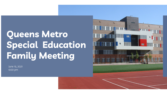# **Queens Metro Special Education Family Meeting**

June 15, 2021  $6:00 \,\mathrm{pm}$ 

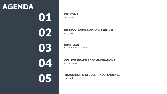## **AGENDA**

**01 WELCOME Ms. Raysor** 

**INSTRUCTIONAL SUPPORT SERVICES** 

Ms. Raysor

**DIPLOMAS**<br>Mrs. Brett/Mrs. E Mrs. Brett/Mrs. Buchberg

## **COLLEGE BOARD ACCOMMODATIONS**

**OS** Mrs. Brett

### **TRANSITION & STUDENT INDEPENDENCE**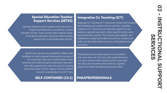#### **Special Education Teacher Support Services (SETSS)**

Specially designed and/or supplemental instruction in English and Mathematics provided by a special education teacher. These services help students remain in the general education classroom while receiving services from a special education teacher.

#### **Integrative Co Teaching (ICT)**

Integrated Co-Teaching (ICT) classrooms include both students with disabilities and students that do not have a disability. Students in ICT classrooms are educated together by two teachers: a general education content specific teacher and a special education teacher. The teachers work together and collaborate to adapt and modify instruction for students and make sure the entire class has access to the general education curriculum.

Special Class Services are provided for children with disabilities in a self-contained classroom for any part of the school day. They serve children whose needs cannot be met within the general education classroom, even with supplementary aids and services including Special Education Teacher Support Services, Related Services or participation in an ICT class.

#### **SELF-CONTAINED (15:1)**

Paraprofessionals provide support to the student(s) that are in their care. The role of the paraprofessional is to assist teachers with classwork and/or assist with the daily care of students with emotional, cognitive, physical and other developmental special needs.

#### **PARAPROFESSIONALS**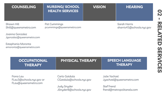| <b>COUNSELING</b>                                             | <b>NURSING/SCHOOL</b><br><b>HEALTH SERVICES</b> |                                           | <b>VISION</b>     |               | <b>HEARING</b>                            |
|---------------------------------------------------------------|-------------------------------------------------|-------------------------------------------|-------------------|---------------|-------------------------------------------|
| Shawn Hill<br>Shill@queensmetro.com<br>Joanna Gonzalez        | Pat Cummings<br>pcummings@queensmetro.com       |                                           |                   |               | Sarah Harris<br>sharris45@schools.nyc.gov |
| Jgonzalez@queensmetro.com                                     |                                                 |                                           |                   |               |                                           |
| Estephania Moronta<br>emoronta@queensmetro.com                |                                                 |                                           |                   |               |                                           |
| <b>OCCUPATIONAL</b><br><b>THERAPY</b>                         |                                                 | <b>PHYSICAL THERAPY</b>                   |                   |               | <b>SPEECH LANGUAGE</b><br><b>THERAPY</b>  |
| Fiona Lau<br>FLau3@schools.nyc.gov or<br>FLau@queensmetro.com |                                                 | Carlo Gatdula<br>CGatdula@schools.nyc.gov |                   | Julie Yachzel | Jyachzel@queensmetro.com                  |
|                                                               | Judy Snyder                                     |                                           | <b>Stef Frend</b> |               |                                           |

JSnyder8@schools.nyc.gov

frend@metropolitanels.com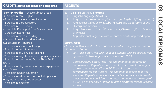| Earn a 55-64 on these 5 exams:<br>English Language Arts (ELA)<br>1.<br>2.<br>Any math exam (Algebra I, Geometry, or Algebra II/Trigonometry)<br>Any social studies exam (Global History and Geography or U.S.<br>3.<br><b>History and Government)</b><br>Any science exam (Living Environment, Chemistry, Earth Science,<br>$\overline{4}$ .<br>or Physics)<br>5.<br>Any additional Regents exam, or another state approved option<br><b>Safety Nets</b><br>Students with disabilities have options available to support acquisition<br>of the local diploma.<br>Low Pass Safety Net with Appeal: Students with disabilities may<br>appeal up to two Regents exam scores of 52-54.<br>Compensatory Safety Net: This option enables students to<br>$\bullet$<br>compensate a Regents exam score of 65 or above for a Regents<br>exam score between 45 and 54. Each high score may<br>compensate for a low score. This option only applies to lower<br>scores on Regents exams in social studies and science. Students<br>must earn at least a 55 (or be granted an appeal in the range of<br>52-54) on their English language arts and mathematics Regents<br>exams. | <b>CREDITS</b> same for local and Regents                                                                                                                                                                                                                                                                                                                                                                                                                                                                                                                                                                                                                                                                                                                                                                          | <b>REGENTS</b> |
|---------------------------------------------------------------------------------------------------------------------------------------------------------------------------------------------------------------------------------------------------------------------------------------------------------------------------------------------------------------------------------------------------------------------------------------------------------------------------------------------------------------------------------------------------------------------------------------------------------------------------------------------------------------------------------------------------------------------------------------------------------------------------------------------------------------------------------------------------------------------------------------------------------------------------------------------------------------------------------------------------------------------------------------------------------------------------------------------------------------------------------------------------------------------|--------------------------------------------------------------------------------------------------------------------------------------------------------------------------------------------------------------------------------------------------------------------------------------------------------------------------------------------------------------------------------------------------------------------------------------------------------------------------------------------------------------------------------------------------------------------------------------------------------------------------------------------------------------------------------------------------------------------------------------------------------------------------------------------------------------------|----------------|
|                                                                                                                                                                                                                                                                                                                                                                                                                                                                                                                                                                                                                                                                                                                                                                                                                                                                                                                                                                                                                                                                                                                                                                     | Earn 44 credits in these subject areas:<br>-8 credits in core English<br>-8 credits in social studies, including:<br>-4 credits in Global History<br>-2 credits in U.S. History<br>-1 credit in Participation in Government<br>-1 credit in Economics<br>-6 credits in math, including:<br>-At least 2 credits in advanced math<br>(Geometry or Algebra II)<br>-6 credits in science, including:<br>-2 credits in any life science<br>-2 credits in any physical science<br>-2 credits in any life science or physical science<br>-2 credits in Languages Other Than English<br>(LOTE)<br>-4 credits in physical education, every year in<br>specific ways<br>-1 credit in health education<br>-2 credits in arts education, including visual<br>arts, music, dance, and theater<br><u>-7 credits in electives</u> |                |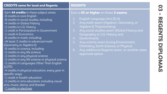## **CREDITS same for local and Regents REGENTS**

#### Earn **44 credits** in these subject areas: -8 credits in core English

- -8 credits in social studies, including:
- -4 credits in Global History
- -2 credits in U.S. History
- -1 credit in Participation in Government
- -1 credit in Economics
- -6 credits in math, including:
- -At least 2 credits in advanced math
- (Geometry or Algebra II)
- -6 credits in science, including:
- -2 credits in any life science
- -2 credits in any physical science
- -2 credits in any life science or physical science
- -2 credits in Languages Other Than English (LOTE)
- -4 credits in physical education, every year in specific ways
- -1 credit in health education
- -2 credits in arts education, including visual arts, music, dance, and theater -7 credits in electives

#### Earn a **65 or higher** on these **5 exams**:

- 1. English Language Arts (ELA)
- 2. Any math exam (Algebra I, Geometry, or Algebra II/ Trigonometry)
- 3. Any social studies exam (Global History and Geography or U.S. History and
- 4. Government)
- 5. Any science exam (Living Environment, Chemistry, Earth Science, or Physics)
- 6. Any additional Regents exam, or another state approved option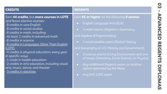| <b>CREDITS</b>                                                                                                                                                                                                                                                                                                                                                                                                                                                                                                                | <b>REGENTS</b>                                                                                                                                                                                                                                                                                                                                                                                                                                                                                                |
|-------------------------------------------------------------------------------------------------------------------------------------------------------------------------------------------------------------------------------------------------------------------------------------------------------------------------------------------------------------------------------------------------------------------------------------------------------------------------------------------------------------------------------|---------------------------------------------------------------------------------------------------------------------------------------------------------------------------------------------------------------------------------------------------------------------------------------------------------------------------------------------------------------------------------------------------------------------------------------------------------------------------------------------------------------|
| Earn 44 credits, but more courses in LOTE<br>and fewer elective courses:<br>-8 credits in core English<br>-8 credits in social studies<br>-6 credits in math, including:<br>-At least 2 credits in advanced math<br>-6 credits in science<br><u>-6 credits in Languages Other Than English</u><br>(LOTE)<br>-4 credits in physical education, every year<br>in specific ways<br>-1 credit in health education<br>-2 credits in arts education, including visual<br>arts, music, dance, and theater<br>-3 credits in electives | Earn 65 or higher on the following 9 exams:<br>English Language Arts (ELA)<br>$\bullet$<br>3 math exams (Algebra I, Geometry,<br>$\bullet$<br>and Algebra II/Trigonometry)<br>1 social studies exam (Global History<br>and Geography or U.S. History and Government)<br>2 science exams (Living Environment and one<br>$\bullet$<br>of these: Chemistry, Earth Science, or Physics)<br>Any additional Regents exam, or another<br>$\bullet$<br>option approved by the State<br>Any NYC LOTE exam<br>$\bullet$ |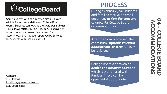# $\bigcirc$  CollegeBoard

Some students with documented disabilities are eligible for accommodations on College Board exams. Students cannot take the **SAT, SAT Subject Tests, PSAT/NMSQT, PSAT 10, or AP Exams** with accommodations unless their request for accommodations has been approved by Services for Students with Disabilities (SSD).

Contact: Ms. Stalford [kstalford@queensmetro.com](mailto:kstalford@queensmetro.com) SSD Coordinator

## **PROCESS**

During freshman year, students and families receive an email document **asking for consent t**o apply for College Board accommodations.

After the form is received, the coordinator **uploads relevant documentation** from SESIS to be reviewed.

College Board **approves or denies the accommodations**  which is then shared with families. These can be appealed, if appropriate.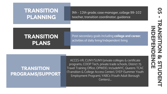## **TRANSITION PLANNING**

9th - 12th grade; case manager, college 99-102 teacher, transition coordinator, guidance

counselor

## **TRANSITION PLANS**

Post-secondary goals including **college and career**; activities of daily living/independent living

### **TRANSITION PROGRAMS/SUPPORT**

ACCES-VR, CUNY/SUNY/private colleges & certificate programs, COOP Tech, private trade schools, District 75 Travel Training Office, OPWDD, IncludeNYC, Queens TCAC (Transition & College Access Center), SYEP (Summer Youth Employment Program), YABCs (Youth Adult Borough Centers)....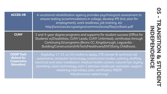| <b>ACCES-VR</b>                                                            | A vocational rehabilitation agency provides psychological assessment to<br>ensure testing accommodations in college, develop IPE (Ind. plan for<br>employment), work readiness, job training, etc<br>http://www.acces.nysed.gov/common/acces/files/vr/basic.pdf                                                                                                                                           |
|----------------------------------------------------------------------------|-----------------------------------------------------------------------------------------------------------------------------------------------------------------------------------------------------------------------------------------------------------------------------------------------------------------------------------------------------------------------------------------------------------|
| <b>CUNY</b>                                                                | 2 and 4-year degree programs and supports for student success (Office for<br>Students w/Disabilities, CUNY Leads, CUNY Unlimited), certificates through<br>Continuing Ed programs (Bronx CC, Kingsborough, Laguardia -<br>Building/Construction/InfoTech/Healthcare/EMT/Early Childhood                                                                                                                   |
| <b>COOP Tech</b><br>(School for<br><b>Cooperative</b><br><b>Education)</b> | Eligibility: 17-21 w/ 20 credits to apply, CTE (career & technical ed)<br>automotive, computer technology, construction trades, culinary, drafting,<br>electrical and solar installation, medical health careers, natural hair styling,<br>plumbing, vision technology, earn 2 elective credits per semester; support<br>obtaining internships, jobs, certificates; FREE !!!<br>http://www.co-optech.org/ |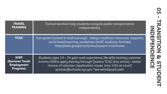| <b>TRAVEL</b>        | Trained teachers help students navigate public transportation                                                                                                                             |
|----------------------|-------------------------------------------------------------------------------------------------------------------------------------------------------------------------------------------|
| <b>TRAINING</b>      | independently                                                                                                                                                                             |
| <b>TCAC</b>          | A program located in each borough; college readiness resources, supports,<br>work based learning, workshops (staff, students, families)<br>https://sites.google.com/view/queens-tcac/home |
| <b>SYEP</b>          | Students ages 14 – 24 gain work experience, life skills training, summer                                                                                                                  |
| <b>(Summer Youth</b> | income; SWDs apply directly through Queens TCAC (not online) - better                                                                                                                     |
| <b>Employment</b>    | chance of selection (application closes June 15th at noon!)                                                                                                                               |
| Program)             | gnstcac@schools.nyc.gov *see email/pupil path                                                                                                                                             |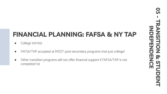## **FINANCIAL PLANNING: FAFSA & NY TAP**

- College 101/102
- FAFSA/TAP accepted at MOST post-secondary programs (not just college)
- Other transition programs will not offer financial support if FAFSA/TAP is not completed 1st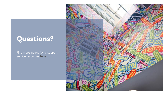## **Questions?**

Find more instructional support service resources [here!](https://www.queensmetro.com/instructional-support-services)